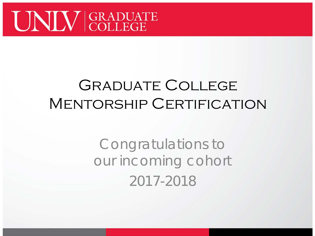

#### Graduate College MENTORSHIP CERTIFICATION

Congratulations to our incoming cohort 2017-2018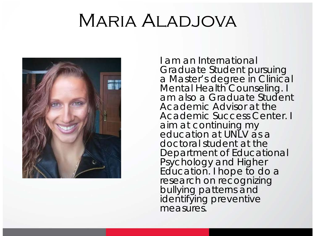#### Maria Aladjova



I am an International Graduate Student pursuing a Master's degree in Clinical Mental Health Counseling. I am also a Graduate Student Academic Advisor at the Academic Success Center. I aim at continuing my education at UNLV as a doctoral student at the Department of Educational Psychology and Higher Education. I hope to do a research on recognizing bullying patterns and identifying preventive measures.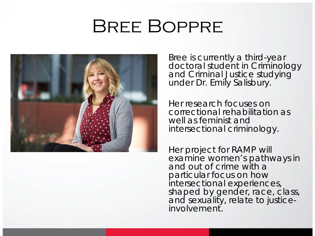#### Bree Boppre



Bree is currently a third-year doctoral student in Criminology and Criminal Justice studying under Dr. Emily Salisbury.

Her research focuses on correctional rehabilitation as well as feminist and intersectional criminology.

Her project for RAMP will examine women's pathways in and out of crime with a particular focus on how intersectional experiences, shaped by gender, race, class, and sexuality, relate to justice-<br>involvement.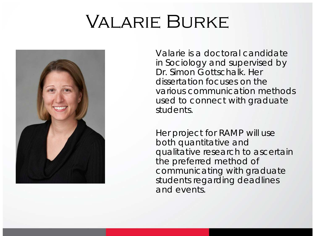## Valarie Burke



Valarie is a doctoral candidate in Sociology and supervised by Dr. Simon Gottschalk. Her dissertation focuses on the various communication methods used to connect with graduate students.

Her project for RAMP will use both quantitative and qualitative research to ascertain the preferred method of communicating with graduate students regarding deadlines and events.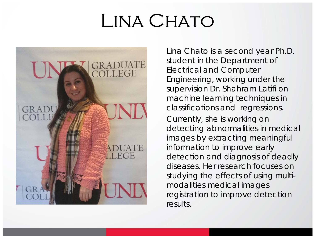### LINA CHATO



Lina Chato is a second year Ph.D. student in the Department of Electrical and Computer Engineering, working under the supervision Dr. Shahram Latifi on machine learning techniques in classifications and regressions.

Currently, she is working on detecting abnormalities in medical images by extracting meaningful information to improve early detection and diagnosis of deadly diseases. Her research focuses on studying the effects of using multimodalities medical images registration to improve detection results.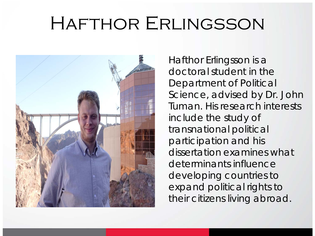### Hafthor Erlingsson



Hafthor Erlingsson is a doctoral student in the Department of Political Science, advised by Dr. John Tuman. His research interests include the study of transnational political participation and his dissertation examines what determinants influence developing countries to expand political rights to their citizens living abroad.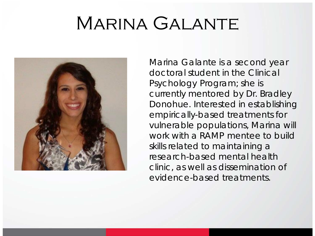### Marina Galante



Marina Galante is a second year doctoral student in the Clinical Psychology Program; she is currently mentored by Dr. Bradley Donohue. Interested in establishing empirically-based treatments for vulnerable populations, Marina will work with a RAMP mentee to build skills related to maintaining a research-based mental health clinic, as well as dissemination of evidence-based treatments.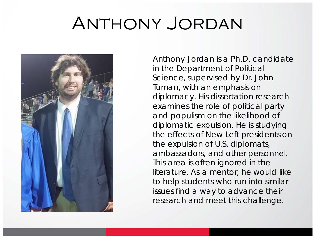### Anthony Jordan



Anthony Jordan is a Ph.D. candidate in the Department of Political Science, supervised by Dr. John Tuman, with an emphasis on diplomacy. His dissertation research examines the role of political party and populism on the likelihood of diplomatic expulsion. He is studying the effects of New Left presidents on the expulsion of U.S. diplomats, ambassadors, and other personnel. This area is often ignored in the literature. As a mentor, he would like to help students who run into similar issues find a way to advance their research and meet this challenge.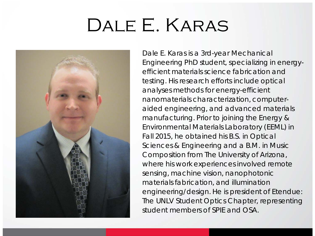### Dale E. Karas



Dale E. Karas is a 3rd-year Mechanical Engineering PhD student, specializing in energyefficient materials science fabrication and testing. His research efforts include optical analyses methods for energy-efficient nanomaterials characterization, computeraided engineering, and advanced materials manufacturing. Prior to joining the Energy & Environmental Materials Laboratory (EEML) in Fall 2015, he obtained his B.S. in Optical Sciences & Engineering and a B.M. in Music Composition from The University of Arizona, where his work experiences involved remote sensing, machine vision, nanophotonic materials fabrication, and illumination engineering/design. He is president of *Etendue: The UNLV Student Optics Chapter*, representing student members of SPIE and OSA.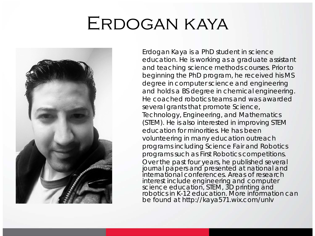### Erdogan kaya



Erdogan Kaya is a PhD student in science education. He is working as a graduate assistant and teaching science methods courses. Prior to beginning the PhD program, he received his MS degree in computer science and engineering and holds a BS degree in chemical engineering. He coached robotics teams and was awarded several grants that promote Science, Technology, Engineering, and Mathematics (STEM). He is also interested in improving STEM education for minorities. He has been volunteering in many education outreach programs including Science Fair and Robotics programs such as First Robotics competitions. Over the past four years, he published several journal papers and presented at national and international conferences. Areas of research interest include engineering and computer science education, STEM, 3D printing and robotics in K-12 education. More information can be found at http://kaya571.wix.com/unlv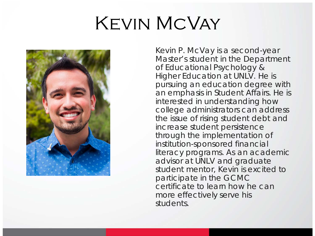## Kevin McVay



Kevin P. McVay is a second-year Master's student in the Department of Educational Psychology & Higher Education at UNLV. He is pursuing an education degree with an emphasis in Student Affairs. He is interested in understanding how college administrators can address the issue of rising student debt and increase student persistence through the implementation of institution-sponsored financial literacy programs. As an academic advisor at UNLV and graduate student mentor, Kevin is excited to participate in the GCMC certificate to learn how he can more effectively serve his students.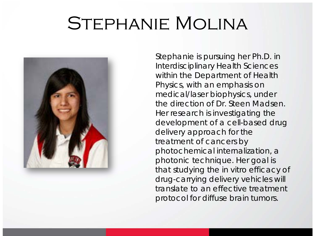#### STEPHANIE MOLINA



Stephanie is pursuing her Ph.D. in Interdisciplinary Health Sciences within the Department of Health Physics, with an emphasis on medical/laser biophysics, under the direction of Dr. Steen Madsen. Her research is investigating the development of a cell-based drug delivery approach for the treatment of cancers by photochemical internalization, a photonic technique. Her goal is that studying the *in vitro* efficacy of drug-carrying delivery vehicles will translate to an effective treatment protocol for diffuse brain tumors.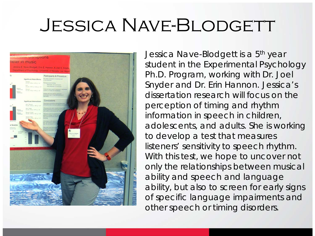#### JESSICA NAVE-BLODGETT



Jessica Nave-Blodgett is a 5<sup>th</sup> year student in the Experimental Psychology Ph.D. Program, working with Dr. Joel Snyder and Dr. Erin Hannon. Jessica's dissertation research will focus on the perception of timing and rhythm information in speech in children, adolescents, and adults. She is working to develop a test that measures listeners' sensitivity to speech rhythm. With this test, we hope to uncover not only the relationships between musical ability and speech and language ability, but also to screen for early signs of specific language impairments and other speech or timing disorders.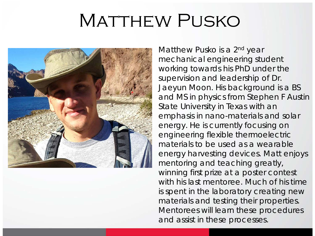### MATTHEW PUSKO



Matthew Pusko is a 2<sup>nd</sup> year mechanical engineering student working towards his PhD under the supervision and leadership of Dr. Jaeyun Moon. His background is a BS and MS in physics from Stephen F Austin State University in Texas with an emphasis in nano-materials and solar energy. He is currently focusing on engineering flexible thermoelectric materials to be used as a wearable energy harvesting devices. Matt enjoys mentoring and teaching greatly, winning first prize at a poster contest with his last mentoree. Much of his time is spent in the laboratory creating new materials and testing their properties. Mentorees will learn these procedures and assist in these processes.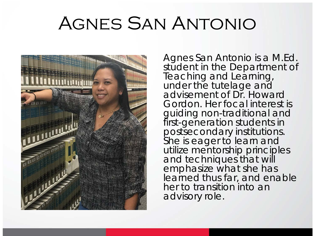### Agnes San Antonio



Agnes San Antonio is a M.Ed. student in the Department of Teaching and Learning, under the tutelage and advisement of Dr. Howard Gordon. Her focal interest is guiding non-traditional and first-generation students in postsecondary institutions. She is eager to learn and utilize mentorship principles and techniques that will emphasize what she has learned thus far, and enable her to transition into an advisory role.